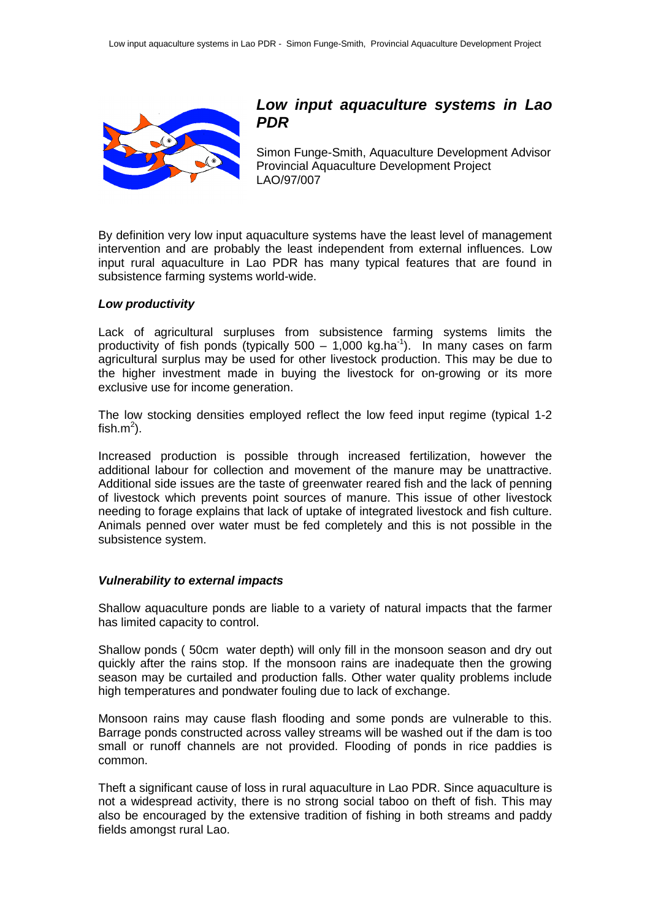

# *Low input aquaculture systems in Lao PDR*

Simon Funge-Smith, Aquaculture Development Advisor Provincial Aquaculture Development Project LAO/97/007

By definition very low input aquaculture systems have the least level of management intervention and are probably the least independent from external influences. Low input rural aquaculture in Lao PDR has many typical features that are found in subsistence farming systems world-wide.

## *Low productivity*

Lack of agricultural surpluses from subsistence farming systems limits the productivity of fish ponds (typically  $500 - 1,000$  kg.ha<sup>-1</sup>). In many cases on farm agricultural surplus may be used for other livestock production. This may be due to the higher investment made in buying the livestock for on-growing or its more exclusive use for income generation.

The low stocking densities employed reflect the low feed input regime (typical 1-2 fish.m<sup>2</sup>).

Increased production is possible through increased fertilization, however the additional labour for collection and movement of the manure may be unattractive. Additional side issues are the taste of greenwater reared fish and the lack of penning of livestock which prevents point sources of manure. This issue of other livestock needing to forage explains that lack of uptake of integrated livestock and fish culture. Animals penned over water must be fed completely and this is not possible in the subsistence system.

#### *Vulnerability to external impacts*

Shallow aquaculture ponds are liable to a variety of natural impacts that the farmer has limited capacity to control.

Shallow ponds ( 50cm water depth) will only fill in the monsoon season and dry out quickly after the rains stop. If the monsoon rains are inadequate then the growing season may be curtailed and production falls. Other water quality problems include high temperatures and pondwater fouling due to lack of exchange.

Monsoon rains may cause flash flooding and some ponds are vulnerable to this. Barrage ponds constructed across valley streams will be washed out if the dam is too small or runoff channels are not provided. Flooding of ponds in rice paddies is common.

Theft a significant cause of loss in rural aquaculture in Lao PDR. Since aquaculture is not a widespread activity, there is no strong social taboo on theft of fish. This may also be encouraged by the extensive tradition of fishing in both streams and paddy fields amongst rural Lao.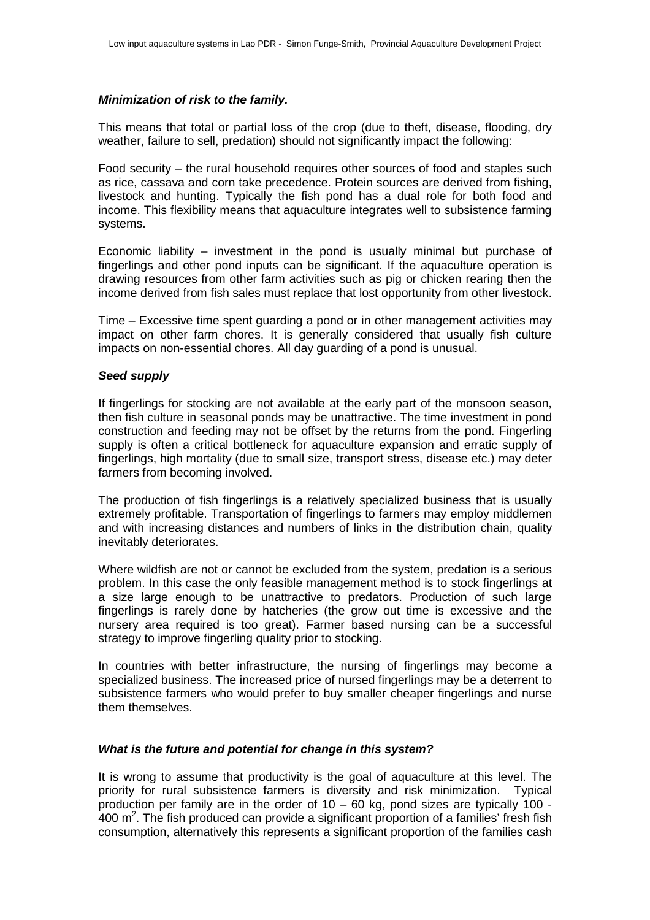## *Minimization of risk to the family.*

This means that total or partial loss of the crop (due to theft, disease, flooding, dry weather, failure to sell, predation) should not significantly impact the following:

Food security – the rural household requires other sources of food and staples such as rice, cassava and corn take precedence. Protein sources are derived from fishing, livestock and hunting. Typically the fish pond has a dual role for both food and income. This flexibility means that aquaculture integrates well to subsistence farming systems.

Economic liability – investment in the pond is usually minimal but purchase of fingerlings and other pond inputs can be significant. If the aquaculture operation is drawing resources from other farm activities such as pig or chicken rearing then the income derived from fish sales must replace that lost opportunity from other livestock.

Time – Excessive time spent guarding a pond or in other management activities may impact on other farm chores. It is generally considered that usually fish culture impacts on non-essential chores. All day guarding of a pond is unusual.

#### *Seed supply*

If fingerlings for stocking are not available at the early part of the monsoon season, then fish culture in seasonal ponds may be unattractive. The time investment in pond construction and feeding may not be offset by the returns from the pond. Fingerling supply is often a critical bottleneck for aquaculture expansion and erratic supply of fingerlings, high mortality (due to small size, transport stress, disease etc.) may deter farmers from becoming involved.

The production of fish fingerlings is a relatively specialized business that is usually extremely profitable. Transportation of fingerlings to farmers may employ middlemen and with increasing distances and numbers of links in the distribution chain, quality inevitably deteriorates.

Where wildfish are not or cannot be excluded from the system, predation is a serious problem. In this case the only feasible management method is to stock fingerlings at a size large enough to be unattractive to predators. Production of such large fingerlings is rarely done by hatcheries (the grow out time is excessive and the nursery area required is too great). Farmer based nursing can be a successful strategy to improve fingerling quality prior to stocking.

In countries with better infrastructure, the nursing of fingerlings may become a specialized business. The increased price of nursed fingerlings may be a deterrent to subsistence farmers who would prefer to buy smaller cheaper fingerlings and nurse them themselves.

#### *What is the future and potential for change in this system?*

It is wrong to assume that productivity is the goal of aquaculture at this level. The priority for rural subsistence farmers is diversity and risk minimization. Typical production per family are in the order of 10 – 60 kg, pond sizes are typically 100 -  $400$  m<sup>2</sup>. The fish produced can provide a significant proportion of a families' fresh fish consumption, alternatively this represents a significant proportion of the families cash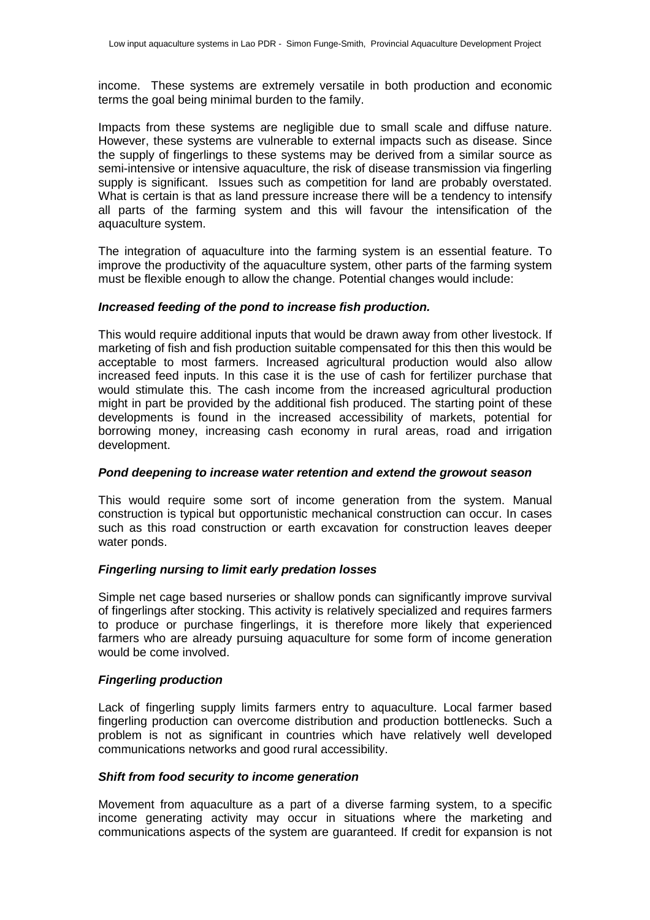income. These systems are extremely versatile in both production and economic terms the goal being minimal burden to the family.

Impacts from these systems are negligible due to small scale and diffuse nature. However, these systems are vulnerable to external impacts such as disease. Since the supply of fingerlings to these systems may be derived from a similar source as semi-intensive or intensive aquaculture, the risk of disease transmission via fingerling supply is significant. Issues such as competition for land are probably overstated. What is certain is that as land pressure increase there will be a tendency to intensify all parts of the farming system and this will favour the intensification of the aquaculture system.

The integration of aquaculture into the farming system is an essential feature. To improve the productivity of the aquaculture system, other parts of the farming system must be flexible enough to allow the change. Potential changes would include:

#### *Increased feeding of the pond to increase fish production.*

This would require additional inputs that would be drawn away from other livestock. If marketing of fish and fish production suitable compensated for this then this would be acceptable to most farmers. Increased agricultural production would also allow increased feed inputs. In this case it is the use of cash for fertilizer purchase that would stimulate this. The cash income from the increased agricultural production might in part be provided by the additional fish produced. The starting point of these developments is found in the increased accessibility of markets, potential for borrowing money, increasing cash economy in rural areas, road and irrigation development.

#### *Pond deepening to increase water retention and extend the growout season*

This would require some sort of income generation from the system. Manual construction is typical but opportunistic mechanical construction can occur. In cases such as this road construction or earth excavation for construction leaves deeper water ponds.

#### *Fingerling nursing to limit early predation losses*

Simple net cage based nurseries or shallow ponds can significantly improve survival of fingerlings after stocking. This activity is relatively specialized and requires farmers to produce or purchase fingerlings, it is therefore more likely that experienced farmers who are already pursuing aquaculture for some form of income generation would be come involved.

#### *Fingerling production*

Lack of fingerling supply limits farmers entry to aquaculture. Local farmer based fingerling production can overcome distribution and production bottlenecks. Such a problem is not as significant in countries which have relatively well developed communications networks and good rural accessibility.

#### *Shift from food security to income generation*

Movement from aquaculture as a part of a diverse farming system, to a specific income generating activity may occur in situations where the marketing and communications aspects of the system are guaranteed. If credit for expansion is not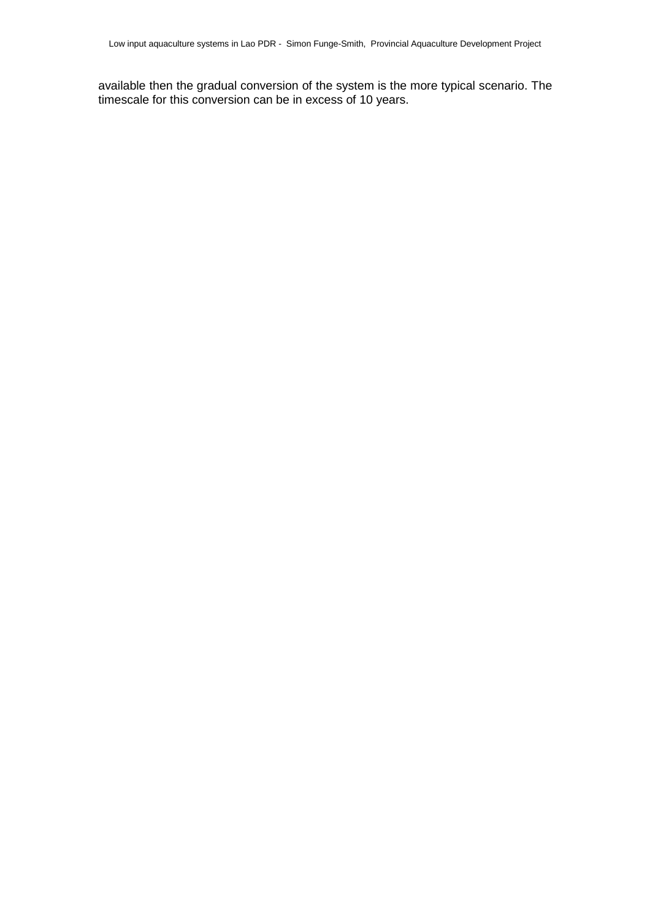available then the gradual conversion of the system is the more typical scenario. The timescale for this conversion can be in excess of 10 years.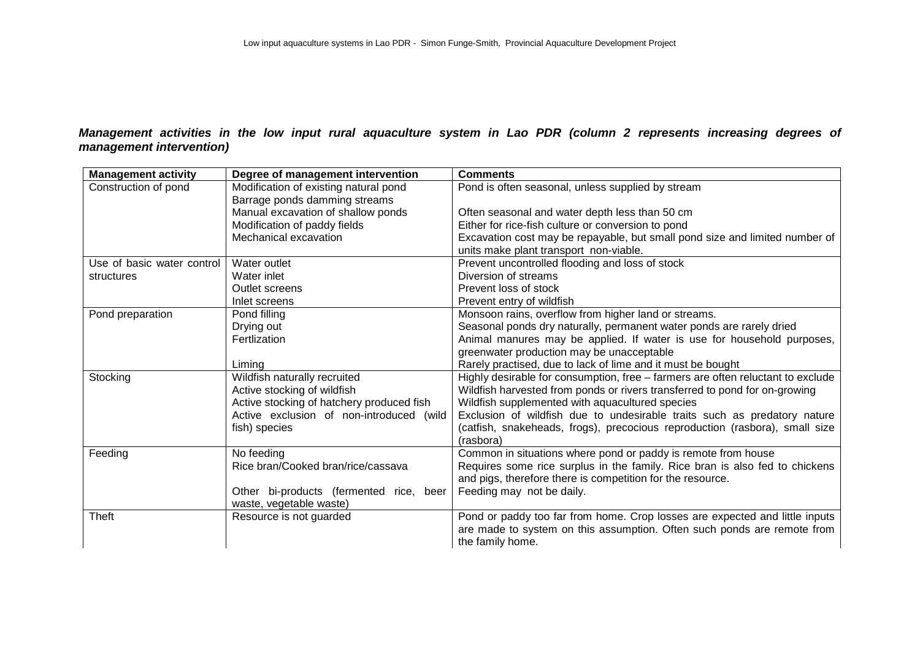# *Management activities in the low input rural aquaculture system in Lao PDR (column 2 represents increasing degrees of management intervention)*

| <b>Management activity</b> | Degree of management intervention         | <b>Comments</b>                                                                 |
|----------------------------|-------------------------------------------|---------------------------------------------------------------------------------|
| Construction of pond       | Modification of existing natural pond     | Pond is often seasonal, unless supplied by stream                               |
|                            | Barrage ponds damming streams             |                                                                                 |
|                            | Manual excavation of shallow ponds        | Often seasonal and water depth less than 50 cm                                  |
|                            | Modification of paddy fields              | Either for rice-fish culture or conversion to pond                              |
|                            | Mechanical excavation                     | Excavation cost may be repayable, but small pond size and limited number of     |
|                            |                                           | units make plant transport non-viable.                                          |
| Use of basic water control | Water outlet                              | Prevent uncontrolled flooding and loss of stock                                 |
| structures                 | Water inlet                               | Diversion of streams                                                            |
|                            | Outlet screens                            | Prevent loss of stock                                                           |
|                            | Inlet screens                             | Prevent entry of wildfish                                                       |
| Pond preparation           | Pond filling                              | Monsoon rains, overflow from higher land or streams.                            |
|                            | Drying out                                | Seasonal ponds dry naturally, permanent water ponds are rarely dried            |
|                            | Fertlization                              | Animal manures may be applied. If water is use for household purposes,          |
|                            |                                           | greenwater production may be unacceptable                                       |
|                            | Liming                                    | Rarely practised, due to lack of lime and it must be bought                     |
| Stocking                   | Wildfish naturally recruited              | Highly desirable for consumption, free - farmers are often reluctant to exclude |
|                            | Active stocking of wildfish               | Wildfish harvested from ponds or rivers transferred to pond for on-growing      |
|                            | Active stocking of hatchery produced fish | Wildfish supplemented with aquacultured species                                 |
|                            | Active exclusion of non-introduced (wild  | Exclusion of wildfish due to undesirable traits such as predatory nature        |
|                            | fish) species                             | (catfish, snakeheads, frogs), precocious reproduction (rasbora), small size     |
|                            |                                           | (rasbora)                                                                       |
| Feeding                    | No feeding                                | Common in situations where pond or paddy is remote from house                   |
|                            | Rice bran/Cooked bran/rice/cassava        | Requires some rice surplus in the family. Rice bran is also fed to chickens     |
|                            |                                           | and pigs, therefore there is competition for the resource.                      |
|                            | Other bi-products (fermented rice, beer   | Feeding may not be daily.                                                       |
|                            | waste, vegetable waste)                   |                                                                                 |
| Theft                      | Resource is not guarded                   | Pond or paddy too far from home. Crop losses are expected and little inputs     |
|                            |                                           | are made to system on this assumption. Often such ponds are remote from         |
|                            |                                           | the family home.                                                                |